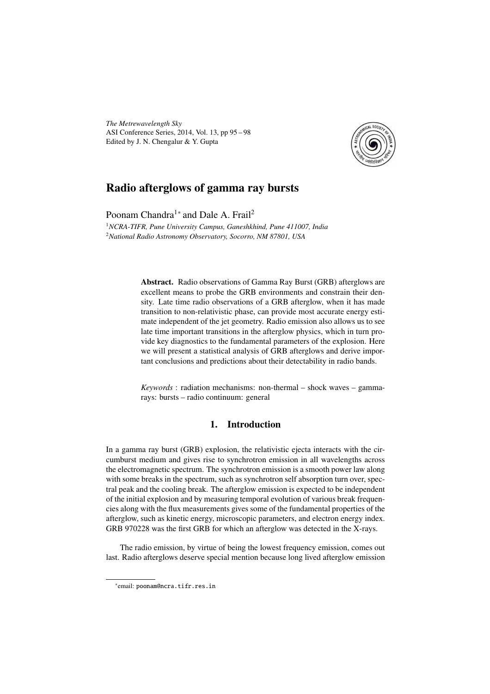*The Metrewavelength Sky* ASI Conference Series, 2014, Vol. 13, pp 95 – 98 Edited by J. N. Chengalur & Y. Gupta



# Radio afterglows of gamma ray bursts

Poonam Chandra<sup>1</sup><sup>∗</sup> and Dale A. Frail<sup>2</sup>

<sup>1</sup>*NCRA-TIFR, Pune University Campus, Ganeshkhind, Pune 411007, India* <sup>2</sup>*National Radio Astronomy Observatory, Socorro, NM 87801, USA*

> Abstract. Radio observations of Gamma Ray Burst (GRB) afterglows are excellent means to probe the GRB environments and constrain their density. Late time radio observations of a GRB afterglow, when it has made transition to non-relativistic phase, can provide most accurate energy estimate independent of the jet geometry. Radio emission also allows us to see late time important transitions in the afterglow physics, which in turn provide key diagnostics to the fundamental parameters of the explosion. Here we will present a statistical analysis of GRB afterglows and derive important conclusions and predictions about their detectability in radio bands.

> *Keywords* : radiation mechanisms: non-thermal – shock waves – gammarays: bursts – radio continuum: general

## 1. Introduction

In a gamma ray burst (GRB) explosion, the relativistic ejecta interacts with the circumburst medium and gives rise to synchrotron emission in all wavelengths across the electromagnetic spectrum. The synchrotron emission is a smooth power law along with some breaks in the spectrum, such as synchrotron self absorption turn over, spectral peak and the cooling break. The afterglow emission is expected to be independent of the initial explosion and by measuring temporal evolution of various break frequencies along with the flux measurements gives some of the fundamental properties of the afterglow, such as kinetic energy, microscopic parameters, and electron energy index. GRB 970228 was the first GRB for which an afterglow was detected in the X-rays.

The radio emission, by virtue of being the lowest frequency emission, comes out last. Radio afterglows deserve special mention because long lived afterglow emission

<sup>∗</sup> email: poonam@ncra.tifr.res.in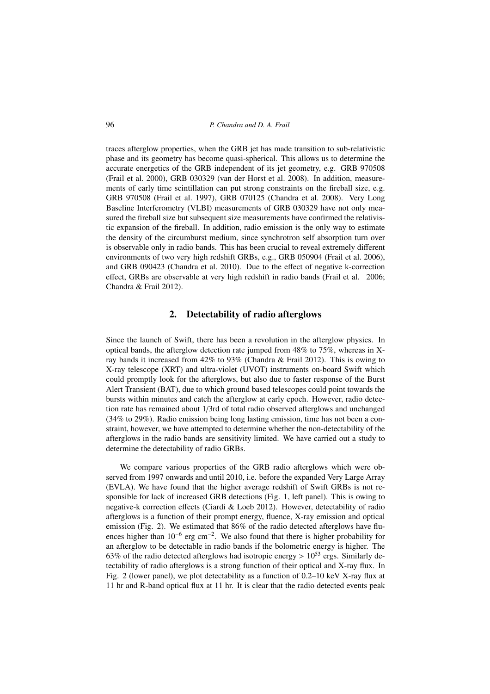traces afterglow properties, when the GRB jet has made transition to sub-relativistic phase and its geometry has become quasi-spherical. This allows us to determine the accurate energetics of the GRB independent of its jet geometry, e.g. GRB 970508 (Frail et al. 2000), GRB 030329 (van der Horst et al. 2008). In addition, measurements of early time scintillation can put strong constraints on the fireball size, e.g. GRB 970508 (Frail et al. 1997), GRB 070125 (Chandra et al. 2008). Very Long Baseline Interferometry (VLBI) measurements of GRB 030329 have not only measured the fireball size but subsequent size measurements have confirmed the relativistic expansion of the fireball. In addition, radio emission is the only way to estimate the density of the circumburst medium, since synchrotron self absorption turn over is observable only in radio bands. This has been crucial to reveal extremely different environments of two very high redshift GRBs, e.g., GRB 050904 (Frail et al. 2006), and GRB 090423 (Chandra et al. 2010). Due to the effect of negative k-correction effect, GRBs are observable at very high redshift in radio bands (Frail et al. 2006; Chandra & Frail 2012).

#### 2. Detectability of radio afterglows

Since the launch of Swift, there has been a revolution in the afterglow physics. In optical bands, the afterglow detection rate jumped from 48% to 75%, whereas in Xray bands it increased from 42% to 93% (Chandra & Frail 2012). This is owing to X-ray telescope (XRT) and ultra-violet (UVOT) instruments on-board Swift which could promptly look for the afterglows, but also due to faster response of the Burst Alert Transient (BAT), due to which ground based telescopes could point towards the bursts within minutes and catch the afterglow at early epoch. However, radio detection rate has remained about 1/3rd of total radio observed afterglows and unchanged (34% to 29%). Radio emission being long lasting emission, time has not been a constraint, however, we have attempted to determine whether the non-detectability of the afterglows in the radio bands are sensitivity limited. We have carried out a study to determine the detectability of radio GRBs.

We compare various properties of the GRB radio afterglows which were observed from 1997 onwards and until 2010, i.e. before the expanded Very Large Array (EVLA). We have found that the higher average redshift of Swift GRBs is not responsible for lack of increased GRB detections (Fig. 1, left panel). This is owing to negative-k correction effects (Ciardi & Loeb 2012). However, detectability of radio afterglows is a function of their prompt energy, fluence, X-ray emission and optical emission (Fig. 2). We estimated that 86% of the radio detected afterglows have fluences higher than  $10^{-6}$  erg cm<sup>-2</sup>. We also found that there is higher probability for an afterglow to be detectable in radio bands if the bolometric energy is higher. The 63% of the radio detected afterglows had isotropic energy  $> 10^{53}$  ergs. Similarly detectability of radio afterglows is a strong function of their optical and X-ray flux. In Fig. 2 (lower panel), we plot detectability as a function of 0.2–10 keV X-ray flux at 11 hr and R-band optical flux at 11 hr. It is clear that the radio detected events peak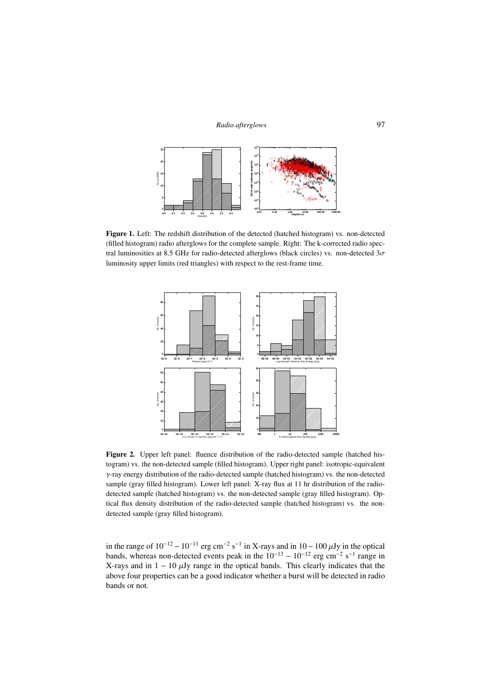

Figure 1. Left: The redshift distribution of the detected (hatched histogram) vs. non-detected (filled histogram) radio afterglows for the complete sample. Right: The k-corrected radio spectral luminosities at 8.5 GHz for radio-detected afterglows (black circles) vs. non-detected  $3\sigma$ luminosity upper limits (red triangles) with respect to the rest-frame time.



Figure 2. Upper left panel: fluence distribution of the radio-detected sample (hatched histogram) vs. the non-detected sample (filled histogram). Upper right panel: isotropic-equivalent  $\gamma$ -ray energy distribution of the radio-detected sample (hatched histogram) vs. the non-detected sample (gray filled histogram). Lower left panel: X-ray flux at 11 hr distribution of the radiodetected sample (hatched histogram) vs. the non-detected sample (gray filled histogram). Optical flux density distribution of the radio-detected sample (hatched histogram) vs. the nondetected sample (gray filled histogram).

in the range of  $10^{-12} - 10^{-11}$  erg cm<sup>-2</sup> s<sup>-1</sup> in X-rays and in  $10 - 100 \,\mu$ Jy in the optical bands, whereas non-detected events peak in the  $10^{-13} - 10^{-12}$  erg cm<sup>-2</sup> s<sup>-1</sup> range in X-rays and in  $1 - 10 \mu Jy$  range in the optical bands. This clearly indicates that the above four properties can be a good indicator whether a burst will be detected in radio bands or not.